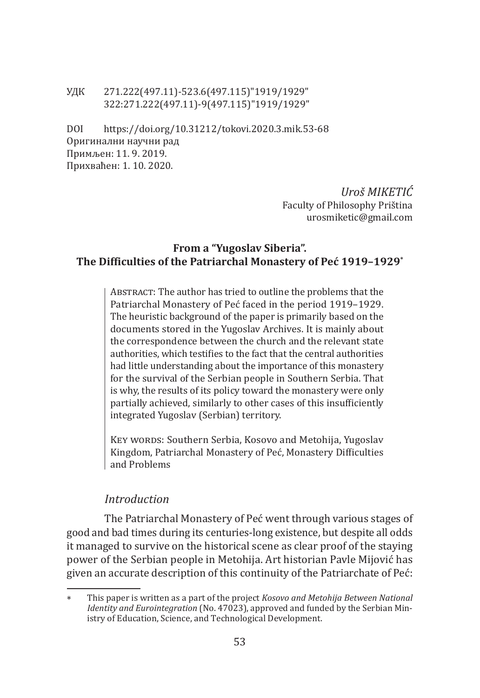#### УДК 271.222(497.11)-523.6(497.115)"1919/1929" 322:271.222(497.11)-9(497.115)"1919/1929"

DOI https://doi.org/10.31212/tokovi.2020.3.mik.53-68 Оригинални научни рад Примљен: 11. 9. 2019. Прихваћен: 1. 10. 2020.

> *Uroš MIKETIĆ* Faculty of Philosophy Priština urosmiketic@gmail.com

### **From a "Yugoslav Siberia". The Difficulties of the Patriarchal Monastery of Peć 1919–1929\***

ABSTRACT: The author has tried to outline the problems that the Patriarchal Monastery of Peć faced in the period 1919–1929. The heuristic background of the paper is primarily based on the documents stored in the Yugoslav Archives. It is mainly about the correspondence between the church and the relevant state authorities, which testifies to the fact that the central authorities had little understanding about the importance of this monastery for the survival of the Serbian people in Southern Serbia. That is why, the results of its policy toward the monastery were only partially achieved, similarly to other cases of this insufficiently integrated Yugoslav (Serbian) territory.

KEY WORDS: Southern Serbia, Kosovo and Metohija, Yugoslav Kingdom, Patriarchal Monastery of Peć, Monastery Difficulties and Problems

### *Introduction*

The Patriarchal Monastery of Peć went through various stages of good and bad times during its centuries-long existence, but despite all odds it managed to survive on the historical scene as clear proof of the staying power of the Serbian people in Metohija. Art historian Pavle Mijović has given an accurate description of this continuity of the Patriarchate of Peć:

<sup>∗</sup> This paper is written as a part of the project *Kosovo and Metohija Between National Identity and Eurointegration* (No. 47023), approved and funded by the Serbian Ministry of Education, Science, and Technological Development.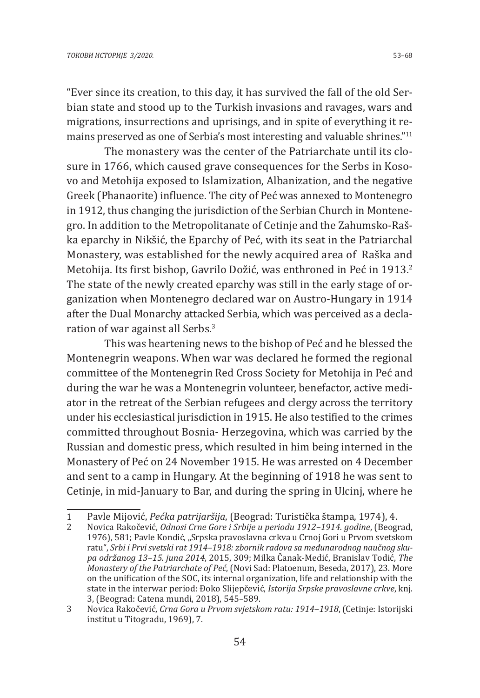"Ever since its creation, to this day, it has survived the fall of the old Serbian state and stood up to the Turkish invasions and ravages, wars and migrations, insurrections and uprisings, and in spite of everything it remains preserved as one of Serbia's most interesting and valuable shrines." $11$ 

The monastery was the center of the Patriarchate until its closure in 1766, which caused grave consequences for the Serbs in Kosovo and Metohija exposed to Islamization, Albanization, and the negative Greek (Phanaorite) influence. The city of Peć was annexed to Montenegro in 1912, thus changing the jurisdiction of the Serbian Church in Montenegro. In addition to the Metropolitanate of Cetinje and the Zahumsko-Raška eparchy in Nikšić, the Eparchy of Peć, with its seat in the Patriarchal Monastery, was established for the newly acquired area of Raška and Metohija. Its first bishop, Gavrilo Dožić, was enthroned in Peć in 1913.<sup>2</sup> The state of the newly created eparchy was still in the early stage of organization when Montenegro declared war on Austro-Hungary in 1914 after the Dual Monarchy attacked Serbia, which was perceived as a declaration of war against all Serbs.<sup>3</sup>

This was heartening news to the bishop of Peć and he blessed the Montenegrin weapons. When war was declared he formed the regional committee of the Montenegrin Red Cross Society for Metohija in Peć and during the war he was a Montenegrin volunteer, benefactor, active mediator in the retreat of the Serbian refugees and clergy across the territory under his ecclesiastical jurisdiction in 1915. He also testified to the crimes committed throughout Bosnia- Herzegovina, which was carried by the Russian and domestic press, which resulted in him being interned in the Monastery of Peć on 24 November 1915. He was arrested on 4 December and sent to a camp in Hungary. At the beginning of 1918 he was sent to Cetinje, in mid-January to Bar, and during the spring in Ulcinj, where he

<sup>1</sup> Pavle Mijović, *Pećka patrijaršija*, (Beograd: Turistička štampa, 1974), 4.

<sup>2</sup> Novica Rakočević, *Odnosi Crne Gore i Srbije u periodu 1912–1914. godine*, (Beograd, 1976), 581; Pavle Kondić, "Srpska pravoslavna crkva u Crnoj Gori u Prvom svetskom ratu", *Srbi i Prvi svetski rat 1914–1918: zbornik radova sa međunarodnog naučnog skupa održanog 13–15. juna 2014*, 2015, 309; Milka Čanak-Medić, Branislav Todić, *The Monastery of the Patriarchate of Peć*, (Novi Sad: Platoenum, Beseda, 2017), 23. More on the unification of the SOC, its internal organization, life and relationship with the state in the interwar period: Đoko Slijepčević, *Istorija Srpske pravoslavne crkve*, knj. 3, (Beograd: Catena mundi, 2018), 545–589.

<sup>3</sup> Novica Rakočević, *Crna Gora u Prvom svjetskom ratu: 1914–1918*, (Cetinje: Istorijski institut u Titogradu, 1969), 7.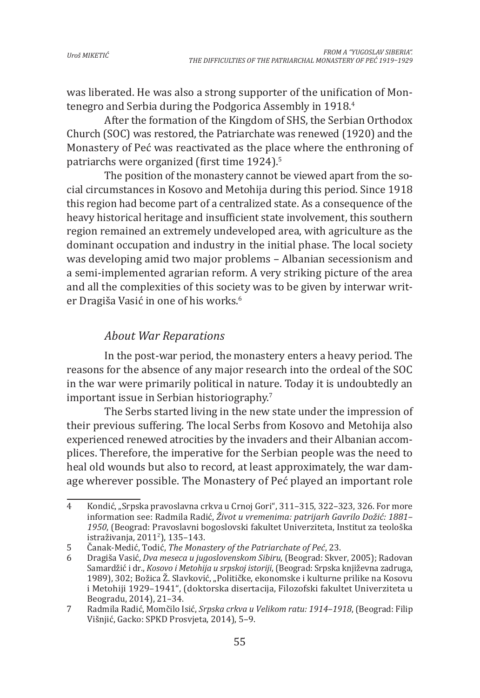was liberated. He was also a strong supporter of the unification of Montenegro and Serbia during the Podgorica Assembly in 1918.<sup>4</sup>

After the formation of the Kingdom of SHS, the Serbian Orthodox Church (SOC) was restored, the Patriarchate was renewed (1920) and the Monastery of Peć was reactivated as the place where the enthroning of patriarchs were organized (first time 1924).<sup>5</sup>

The position of the monastery cannot be viewed apart from the social circumstances in Kosovo and Metohija during this period. Since 1918 this region had become part of a centralized state. As a consequence of the heavy historical heritage and insufficient state involvement, this southern region remained an extremely undeveloped area, with agriculture as the dominant occupation and industry in the initial phase. The local society was developing amid two major problems – Albanian secessionism and a semi-implemented agrarian reform. A very striking picture of the area and all the complexities of this society was to be given by interwar writer Dragiša Vasić in one of his works.<sup>6</sup>

## *About War Reparations*

In the post-war period, the monastery enters a heavy period. The reasons for the absence of any major research into the ordeal of the SOC in the war were primarily political in nature. Today it is undoubtedly an important issue in Serbian historiography.<sup>7</sup>

The Serbs started living in the new state under the impression of their previous suffering. The local Serbs from Kosovo and Metohija also experienced renewed atrocities by the invaders and their Albanian accomplices. Therefore, the imperative for the Serbian people was the need to heal old wounds but also to record, at least approximately, the war damage wherever possible. The Monastery of Peć played an important role

<sup>4</sup> Kondić, "Srpska pravoslavna crkva u Crnoj Gori", 311–315, 322–323, 326. For more information see: Radmila Radić, *Život u vremenima: patrijarh Gavrilo Dožić: 1881– 1950*, (Beograd: Pravoslavni bogoslovski fakultet Univerziteta, Institut za teološka istraživanja, 2011<sup>2</sup> ), 135–143.

<sup>5</sup> Čanak-Medić, Todić, *The Monastery of the Patriarchate of Peć*, 23.

<sup>6</sup> Dragiša Vasić, *Dva meseca u jugoslovenskom Sibiru*, (Beograd: Skver, 2005); Radovan Samardžić i dr., *Kosovo i Metohija u srpskoj istoriji*, (Beograd: Srpska književna zadruga, 1989), 302; Božica Ž. Slavković, "Političke, ekonomske i kulturne prilike na Kosovu i Metohiji 1929–1941", (doktorska disertacija, Filozofski fakultet Univerziteta u Beogradu, 2014), 21–34.

<sup>7</sup> Radmila Radić, Momčilo Isić, *Srpska crkva u Velikom ratu: 1914–1918*, (Beograd: Filip Višnjić, Gacko: SPKD Prosvjeta, 2014), 5–9.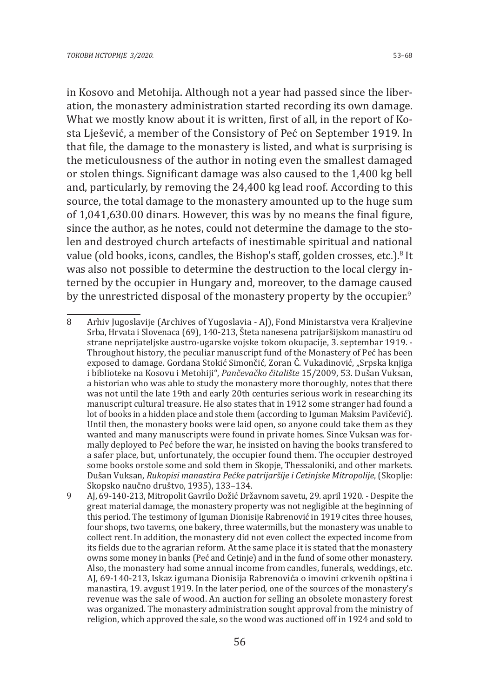in Kosovo and Metohija. Although not a year had passed since the liberation, the monastery administration started recording its own damage. What we mostly know about it is written, first of all, in the report of Kosta Lješević, a member of the Consistory of Peć on September 1919. In that file, the damage to the monastery is listed, and what is surprising is the meticulousness of the author in noting even the smallest damaged or stolen things. Significant damage was also caused to the 1,400 kg bell and, particularly, by removing the 24,400 kg lead roof. According to this source, the total damage to the monastery amounted up to the huge sum of 1,041,630.00 dinars. However, this was by no means the final figure, since the author, as he notes, could not determine the damage to the stolen and destroyed church artefacts of inestimable spiritual and national value (old books, icons, candles, the Bishop's staff, golden crosses, etc.).<sup>8</sup> It was also not possible to determine the destruction to the local clergy interned by the occupier in Hungary and, moreover, to the damage caused by the unrestricted disposal of the monastery property by the occupier.<sup>9</sup>

<sup>8</sup> Arhiv Jugoslavije (Archives of Yugoslavia - AJ), Fond Ministarstva vera Kraljevine Srba, Hrvata i Slovenaca (69), 140-213, Šteta nanesena patrijaršijskom manastiru od strane neprijateljske austro-ugarske vojske tokom okupacije, 3. septembar 1919. - Throughout history, the peculiar manuscript fund of the Monastery of Peć has been exposed to damage. Gordana Stokić Simončić, Zoran Č. Vukadinović, "Srpska knjiga i biblioteke na Kosovu i Metohiji", *Pančevačko čitalište* 15/2009, 53. Dušan Vuksan, a historian who was able to study the monastery more thoroughly, notes that there was not until the late 19th and early 20th centuries serious work in researching its manuscript cultural treasure. He also states that in 1912 some stranger had found a lot of books in a hidden place and stole them (according to Iguman Maksim Pavičević). Until then, the monastery books were laid open, so anyone could take them as they wanted and many manuscripts were found in private homes. Since Vuksan was formally deployed to Peć before the war, he insisted on having the books transfered to a safer place, but, unfortunately, the occupier found them. The occupier destroyed some books orstole some and sold them in Skopje, Thessaloniki, and other markets. Dušan Vuksan, *Rukopisi manastira Pećke patrijaršije i Cetinjske Mitropolije*, (Skoplje: Skopsko naučno društvo, 1935), 133–134.

<sup>9</sup> AJ, 69-140-213, Mitropolit Gavrilo Dožić Državnom savetu, 29. april 1920. - Despite the great material damage, the monastery property was not negligible at the beginning of this period. The testimony of Iguman Dionisije Rabrenović in 1919 cites three houses, four shops, two taverns, one bakery, three watermills, but the monastery was unable to collect rent. In addition, the monastery did not even collect the expected income from its fields due to the agrarian reform. At the same place it is stated that the monastery owns some money in banks (Peć and Cetinje) and in the fund of some other monastery. Also, the monastery had some annual income from candles, funerals, weddings, etc. AJ, 69-140-213, Iskaz igumana Dionisija Rabrenovića o imovini crkvenih opština i manastira, 19. avgust 1919. In the later period, one of the sources of the monastery's revenue was the sale of wood. An auction for selling an obsolete monastery forest was organized. The monastery administration sought approval from the ministry of religion, which approved the sale, so the wood was auctioned off in 1924 and sold to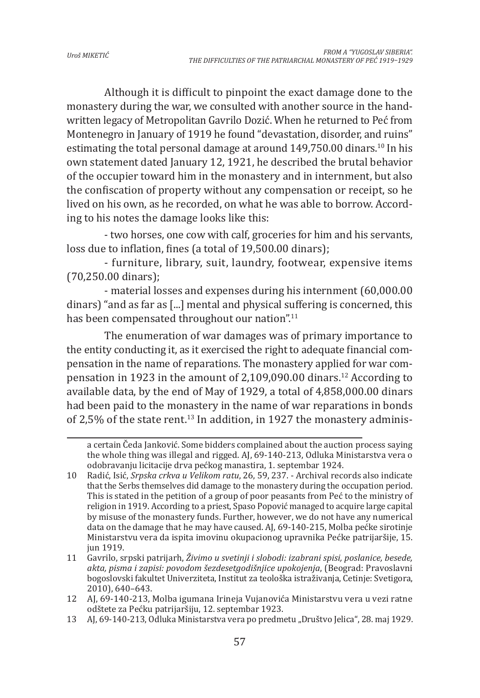Although it is difficult to pinpoint the exact damage done to the monastery during the war, we consulted with another source in the handwritten legacy of Metropolitan Gavrilo Dozić. When he returned to Peć from Montenegro in January of 1919 he found "devastation, disorder, and ruins" estimating the total personal damage at around  $149,750.00$  dinars.<sup>10</sup> In his own statement dated January 12, 1921, he described the brutal behavior of the occupier toward him in the monastery and in internment, but also the confiscation of property without any compensation or receipt, so he lived on his own, as he recorded, on what he was able to borrow. According to his notes the damage looks like this:

- two horses, one cow with calf, groceries for him and his servants, loss due to inflation, fines (a total of 19,500.00 dinars);

- furniture, library, suit, laundry, footwear, expensive items (70,250.00 dinars);

- material losses and expenses during his internment (60,000.00 dinars) "and as far as [...] mental and physical suffering is concerned, this has been compensated throughout our nation".<sup>11</sup>

The enumeration of war damages was of primary importance to the entity conducting it, as it exercised the right to adequate financial compensation in the name of reparations. The monastery applied for war compensation in 1923 in the amount of 2,109,090.00 dinars.12 According to available data, by the end of May of 1929, a total of 4,858,000.00 dinars had been paid to the monastery in the name of war reparations in bonds of 2,5% of the state rent.<sup>13</sup> In addition, in 1927 the monastery adminis-

a certain Čeda Janković. Some bidders complained about the auction process saying the whole thing was illegal and rigged. AJ, 69-140-213, Odluka Ministarstva vera o odobravanju licitacije drva pećkog manastira, 1. septembar 1924.

<sup>10</sup> Radić, Isić, *Srpska crkva u Velikom ratu*, 26, 59, 237. - Archival records also indicate that the Serbs themselves did damage to the monastery during the occupation period. This is stated in the petition of a group of poor peasants from Peć to the ministry of religion in 1919. According to a priest, Spaso Popović managed to acquire large capital by misuse of the monastery funds. Further, however, we do not have any numerical data on the damage that he may have caused. AJ, 69-140-215, Molba pećke sirotinje Ministarstvu vera da ispita imovinu okupacionog upravnika Pećke patrijaršije, 15. jun 1919.

<sup>11</sup> Gavrilo, srpski patrijarh, *Živimo u svetinji i slobodi: izabrani spisi, poslanice, besede, akta, pisma i zapisi: povodom šezdesetgodišnjice upokojenja*, (Beograd: Pravoslavni bogoslovski fakultet Univerziteta, Institut za teološka istraživanja, Cetinje: Svetigora, 2010), 640–643.

<sup>12</sup> AJ, 69-140-213, Molba igumana Irineja Vujanovića Ministarstvu vera u vezi ratne odštete za Pećku patrijaršiju, 12. septembar 1923.

<sup>13</sup> AJ, 69-140-213, Odluka Ministarstva vera po predmetu "Društvo Jelica", 28. maj 1929.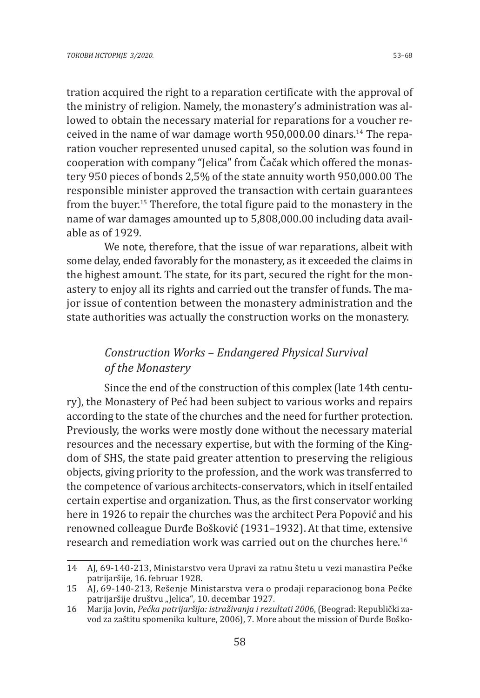tration acquired the right to a reparation certificate with the approval of the ministry of religion. Namely, the monastery's administration was allowed to obtain the necessary material for reparations for a voucher received in the name of war damage worth 950,000.00 dinars.14 The reparation voucher represented unused capital, so the solution was found in cooperation with company "Jelica" from Čačak which offered the monastery 950 pieces of bonds 2,5% of the state annuity worth 950,000.00 The responsible minister approved the transaction with certain guarantees from the buyer.15 Therefore, the total figure paid to the monastery in the name of war damages amounted up to 5,808,000.00 including data available as of 1929.

We note, therefore, that the issue of war reparations, albeit with some delay, ended favorably for the monastery, as it exceeded the claims in the highest amount. The state, for its part, secured the right for the monastery to enjoy all its rights and carried out the transfer of funds. The major issue of contention between the monastery administration and the state authorities was actually the construction works on the monastery.

# *Construction Works – Endangered Physical Survival of the Monastery*

Since the end of the construction of this complex (late 14th century), the Monastery of Peć had been subject to various works and repairs according to the state of the churches and the need for further protection. Previously, the works were mostly done without the necessary material resources and the necessary expertise, but with the forming of the Kingdom of SHS, the state paid greater attention to preserving the religious objects, giving priority to the profession, and the work was transferred to the competence of various architects-conservators, which in itself entailed certain expertise and organization. Thus, as the first conservator working here in 1926 to repair the churches was the architect Pera Popović and his renowned colleague Đurđe Bošković (1931–1932). At that time, extensive research and remediation work was carried out on the churches here.16

<sup>14</sup> AJ, 69-140-213, Ministarstvo vera Upravi za ratnu štetu u vezi manastira Pećke patrijaršije, 16. februar 1928.

<sup>15</sup> AJ, 69-140-213, Rešenje Ministarstva vera o prodaji reparacionog bona Pećke patrijaršije društvu "Jelica", 10. decembar 1927.

<sup>16</sup> Marija Jovin, *Pećka patrijaršija: istraživanja i rezultati 2006*, (Beograd: Republički zavod za zaštitu spomenika kulture, 2006), 7. More about the mission of Đurđe Boško-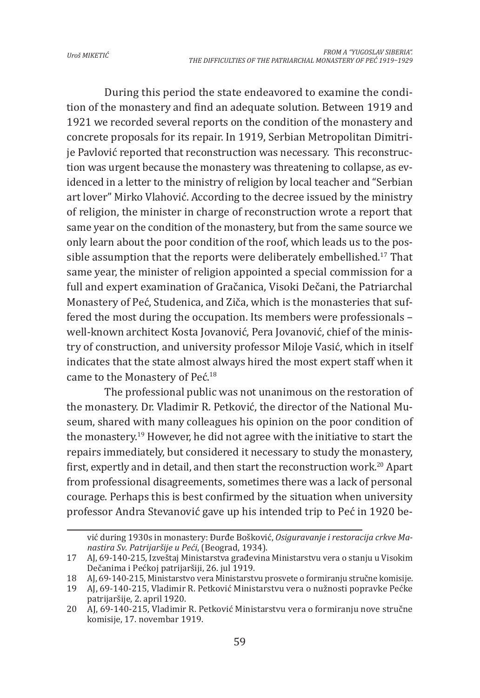During this period the state endeavored to examine the condition of the monastery and find an adequate solution. Between 1919 and 1921 we recorded several reports on the condition of the monastery and concrete proposals for its repair. In 1919, Serbian Metropolitan Dimitrije Pavlović reported that reconstruction was necessary. This reconstruction was urgent because the monastery was threatening to collapse, as evidenced in a letter to the ministry of religion by local teacher and "Serbian art lover" Mirko Vlahović. According to the decree issued by the ministry of religion, the minister in charge of reconstruction wrote a report that same year on the condition of the monastery, but from the same source we only learn about the poor condition of the roof, which leads us to the possible assumption that the reports were deliberately embellished.<sup>17</sup> That same year, the minister of religion appointed a special commission for a full and expert examination of Gračanica, Visoki Dečani, the Patriarchal Monastery of Peć, Studenica, and Ziča, which is the monasteries that suffered the most during the occupation. Its members were professionals – well-known architect Kosta Jovanović, Pera Jovanović, chief of the ministry of construction, and university professor Miloje Vasić, which in itself indicates that the state almost always hired the most expert staff when it came to the Monastery of Peć.18

The professional public was not unanimous on the restoration of the monastery. Dr. Vladimir R. Petković, the director of the National Museum, shared with many colleagues his opinion on the poor condition of the monastery.19 However, he did not agree with the initiative to start the repairs immediately, but considered it necessary to study the monastery, first, expertly and in detail, and then start the reconstruction work.<sup>20</sup> Apart from professional disagreements, sometimes there was a lack of personal courage. Perhaps this is best confirmed by the situation when university professor Andra Stevanović gave up his intended trip to Peć in 1920 be-

vić during 1930s in monastery: Đurđe Bošković, *Osiguravanje i restoracija crkve Manastira Sv. Patrijaršije u Peći*, (Beograd, 1934).

<sup>17</sup> AJ, 69-140-215, Izveštaj Ministarstva građevina Ministarstvu vera o stanju u Visokim Dečanima i Pećkoj patrijaršiji, 26. jul 1919.

<sup>18</sup> AJ, 69-140-215, Ministarstvo vera Ministarstvu prosvete o formiranju stručne komisije.

<sup>19</sup> AJ, 69-140-215, Vladimir R. Petković Ministarstvu vera o nužnosti popravke Pećke patrijaršije, 2. april 1920.

<sup>20</sup> AJ, 69-140-215, Vladimir R. Petković Ministarstvu vera o formiranju nove stručne komisije, 17. novembar 1919.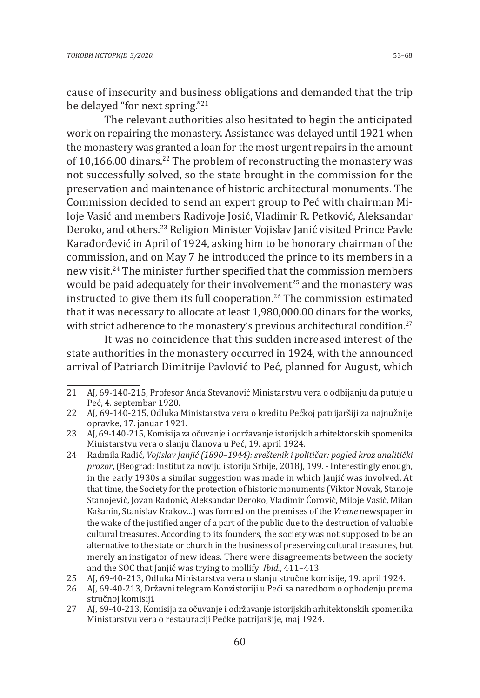cause of insecurity and business obligations and demanded that the trip be delayed "for next spring."<sup>21</sup>

The relevant authorities also hesitated to begin the anticipated work on repairing the monastery. Assistance was delayed until 1921 when the monastery was granted a loan for the most urgent repairs in the amount of 10,166.00 dinars.<sup>22</sup> The problem of reconstructing the monastery was not successfully solved, so the state brought in the commission for the preservation and maintenance of historic architectural monuments. The Commission decided to send an expert group to Peć with chairman Miloje Vasić and members Radivoje Josić, Vladimir R. Petković, Aleksandar Deroko, and others.<sup>23</sup> Religion Minister Vojislav Janić visited Prince Pavle Karađorđević in April of 1924, asking him to be honorary chairman of the commission, and on May 7 he introduced the prince to its members in a new visit.<sup>24</sup> The minister further specified that the commission members would be paid adequately for their involvement<sup>25</sup> and the monastery was instructed to give them its full cooperation.<sup>26</sup> The commission estimated that it was necessary to allocate at least 1,980,000.00 dinars for the works, with strict adherence to the monastery's previous architectural condition.<sup>27</sup>

It was no coincidence that this sudden increased interest of the state authorities in the monastery occurred in 1924, with the announced arrival of Patriarch Dimitrije Pavlović to Peć, planned for August, which

<sup>21</sup> AJ, 69-140-215, Profesor Anda Stevanović Ministarstvu vera o odbijanju da putuje u Peć, 4. septembar 1920.

<sup>22</sup> AJ, 69-140-215, Odluka Ministarstva vera o kreditu Pećkoj patrijaršiji za najnužnije opravke, 17. januar 1921.

<sup>23</sup> AJ, 69-140-215, Komisija za očuvanje i održavanje istorijskih arhitektonskih spomenika Ministarstvu vera o slanju članova u Peć, 19. april 1924.

<sup>24</sup> Radmila Radić, *Vojislav Janjić (1890–1944): sveštenik i političar: pogled kroz analitički prozor*, (Beograd: Institut za noviju istoriju Srbije, 2018), 199. - Interestingly enough, in the early 1930s a similar suggestion was made in which Janjić was involved. At that time, the Society for the protection of historic monuments (Viktor Novak, Stanoje Stanojević, Jovan Radonić, Aleksandar Deroko, Vladimir Ćorović, Miloje Vasić, Milan Kašanin, Stanislav Krakov...) was formed on the premises of the *Vreme* newspaper in the wake of the justified anger of a part of the public due to the destruction of valuable cultural treasures. According to its founders, the society was not supposed to be an alternative to the state or church in the business of preserving cultural treasures, but merely an instigator of new ideas. There were disagreements between the society and the SOC that Janjić was trying to mollify. *Ibid.*, 411–413.

<sup>25</sup> AJ, 69-40-213, Odluka Ministarstva vera o slanju stručne komisije, 19. april 1924.

<sup>26</sup> AJ, 69-40-213, Državni telegram Konzistoriji u Peći sa naredbom o ophođenju prema stručnoj komisiji.

<sup>27</sup> AJ, 69-40-213, Komisija za očuvanje i održavanje istorijskih arhitektonskih spomenika Ministarstvu vera o restauraciji Pećke patrijaršije, maj 1924.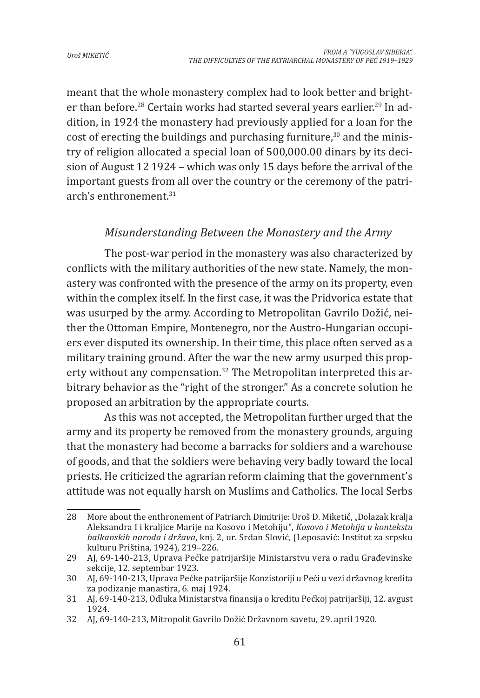meant that the whole monastery complex had to look better and brighter than before.<sup>28</sup> Certain works had started several years earlier.<sup>29</sup> In addition, in 1924 the monastery had previously applied for a loan for the cost of erecting the buildings and purchasing furniture, $30$  and the ministry of religion allocated a special loan of 500,000.00 dinars by its decision of August 12 1924 – which was only 15 days before the arrival of the important guests from all over the country or the ceremony of the patriarch's enthronement.<sup>31</sup>

## *Misunderstanding Between the Monastery and the Army*

The post-war period in the monastery was also characterized by conflicts with the military authorities of the new state. Namely, the monastery was confronted with the presence of the army on its property, even within the complex itself. In the first case, it was the Pridvorica estate that was usurped by the army. According to Metropolitan Gavrilo Dožić, neither the Ottoman Empire, Montenegro, nor the Austro-Hungarian occupiers ever disputed its ownership. In their time, this place often served as a military training ground. After the war the new army usurped this property without any compensation.<sup>32</sup> The Metropolitan interpreted this arbitrary behavior as the "right of the stronger." As a concrete solution he proposed an arbitration by the appropriate courts.

As this was not accepted, the Metropolitan further urged that the army and its property be removed from the monastery grounds, arguing that the monastery had become a barracks for soldiers and a warehouse of goods, and that the soldiers were behaving very badly toward the local priests. He criticized the agrarian reform claiming that the government's attitude was not equally harsh on Muslims and Catholics. The local Serbs

<sup>28</sup> More about the enthronement of Patriarch Dimitrije: Uroš D. Miketić, "Dolazak kralja Aleksandra I i kraljice Marije na Kosovo i Metohiju", *Kosovo i Metohija u kontekstu balkanskih naroda i država*, knj. 2, ur. Srđan Slović, (Leposavić: Institut za srpsku kulturu Priština, 1924), 219–226.

<sup>29</sup> AJ, 69-140-213, Uprava Pećke patrijaršije Ministarstvu vera o radu Građevinske sekcije, 12. septembar 1923.

<sup>30</sup> AJ, 69-140-213, Uprava Pećke patrijaršije Konzistoriji u Peći u vezi državnog kredita za podizanje manastira, 6. maj 1924.

<sup>31</sup> AJ, 69-140-213, Odluka Ministarstva finansija o kreditu Pećkoj patrijaršiji, 12. avgust 1924.

<sup>32</sup> AJ, 69-140-213, Mitropolit Gavrilo Dožić Državnom savetu, 29. april 1920.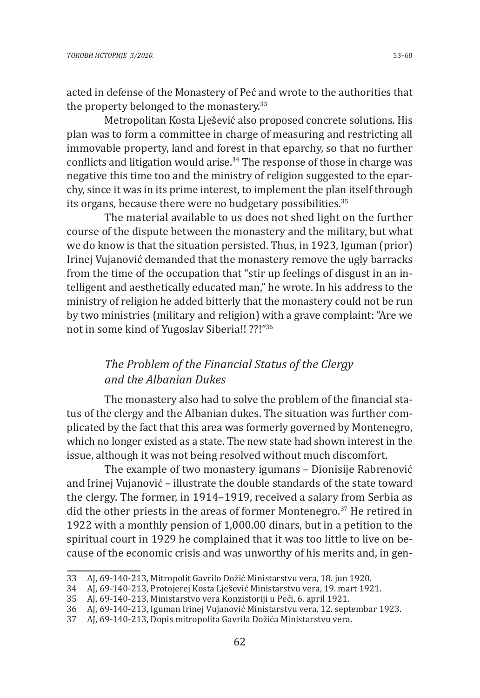acted in defense of the Monastery of Peć and wrote to the authorities that the property belonged to the monastery.<sup>33</sup>

Metropolitan Kosta Lješević also proposed concrete solutions. His plan was to form a committee in charge of measuring and restricting all immovable property, land and forest in that eparchy, so that no further conflicts and litigation would arise.<sup>34</sup> The response of those in charge was negative this time too and the ministry of religion suggested to the eparchy, since it was in its prime interest, to implement the plan itself through its organs, because there were no budgetary possibilities.<sup>35</sup>

The material available to us does not shed light on the further course of the dispute between the monastery and the military, but what we do know is that the situation persisted. Thus, in 1923, Iguman (prior) Irinej Vujanović demanded that the monastery remove the ugly barracks from the time of the occupation that "stir up feelings of disgust in an intelligent and aesthetically educated man," he wrote. In his address to the ministry of religion he added bitterly that the monastery could not be run by two ministries (military and religion) with a grave complaint: "Are we not in some kind of Yugoslav Siberia!! ??!"<sup>36</sup>

## *The Problem of the Financial Status of the Clergy and the Albanian Dukes*

The monastery also had to solve the problem of the financial status of the clergy and the Albanian dukes. The situation was further complicated by the fact that this area was formerly governed by Montenegro, which no longer existed as a state. The new state had shown interest in the issue, although it was not being resolved without much discomfort.

The example of two monastery igumans – Dionisije Rabrenović and Irinej Vujanović – illustrate the double standards of the state toward the clergy. The former, in 1914–1919, received a salary from Serbia as did the other priests in the areas of former Montenegro.37 He retired in 1922 with a monthly pension of 1,000.00 dinars, but in a petition to the spiritual court in 1929 he complained that it was too little to live on because of the economic crisis and was unworthy of his merits and, in gen-

<sup>33</sup> AJ, 69-140-213, Mitropolit Gavrilo Dožić Ministarstvu vera, 18. jun 1920.

<sup>34</sup> AJ, 69-140-213, Protojerej Kosta Lješević Ministarstvu vera, 19. mart 1921.

<sup>35</sup> AJ, 69-140-213, Ministarstvo vera Konzistoriji u Peći, 6. april 1921.

<sup>36</sup> AJ, 69-140-213, Iguman Irinej Vujanović Ministarstvu vera, 12. septembar 1923.

<sup>37</sup> AJ, 69-140-213, Dopis mitropolita Gavrila Dožića Ministarstvu vera.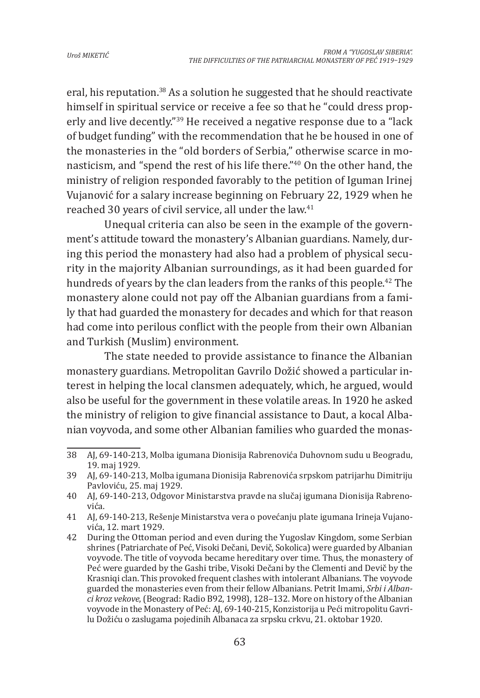eral, his reputation.38 As a solution he suggested that he should reactivate himself in spiritual service or receive a fee so that he "could dress properly and live decently."39 He received a negative response due to a "lack of budget funding" with the recommendation that he be housed in one of the monasteries in the "old borders of Serbia," otherwise scarce in monasticism, and "spend the rest of his life there."40 On the other hand, the ministry of religion responded favorably to the petition of Iguman Irinej Vujanović for a salary increase beginning on February 22, 1929 when he reached 30 years of civil service, all under the law.<sup>41</sup>

Unequal criteria can also be seen in the example of the government's attitude toward the monastery's Albanian guardians. Namely, during this period the monastery had also had a problem of physical security in the majority Albanian surroundings, as it had been guarded for hundreds of years by the clan leaders from the ranks of this people.<sup>42</sup> The monastery alone could not pay off the Albanian guardians from a family that had guarded the monastery for decades and which for that reason had come into perilous conflict with the people from their own Albanian and Turkish (Muslim) environment.

The state needed to provide assistance to finance the Albanian monastery guardians. Metropolitan Gavrilo Dožić showed a particular interest in helping the local clansmen adequately, which, he argued, would also be useful for the government in these volatile areas. In 1920 he asked the ministry of religion to give financial assistance to Daut, a kocal Albanian voyvoda, and some other Albanian families who guarded the monas-

<sup>38</sup> AJ, 69-140-213, Molba igumana Dionisija Rabrenovića Duhovnom sudu u Beogradu, 19. maj 1929.

<sup>39</sup> AJ, 69-140-213, Molba igumana Dionisija Rabrenovića srpskom patrijarhu Dimitriju Pavloviću, 25. maj 1929.

<sup>40</sup> AJ, 69-140-213, Odgovor Ministarstva pravde na slučaj igumana Dionisija Rabrenovića.

<sup>41</sup> AJ, 69-140-213, Rešenje Ministarstva vera o povećanju plate igumana Irineja Vujanovića, 12. mart 1929.

<sup>42</sup> During the Ottoman period and even during the Yugoslav Kingdom, some Serbian shrines (Patriarchate of Peć, Visoki Dečani, Devič, Sokolica) were guarded by Albanian voyvode. The title of voyvoda became hereditary over time. Thus, the monastery of Peć were guarded by the Gashi tribe, Visoki Dečani by the Clementi and Devič by the Krasniqi clan. This provoked frequent clashes with intolerant Albanians. The voyvode guarded the monasteries even from their fellow Albanians. Petrit Imami, *Srbi i Albanci kroz vekove*, (Beograd: Radio B92, 1998), 128–132. More on history of the Albanian voyvode in the Monastery of Peć: AJ, 69-140-215, Konzistorija u Peći mitropolitu Gavrilu Dožiću o zaslugama pojedinih Albanaca za srpsku crkvu, 21. oktobar 1920.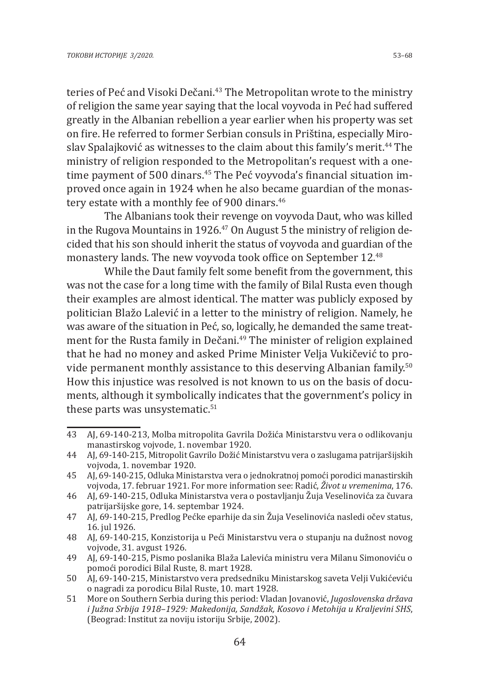teries of Peć and Visoki Dečani.<sup>43</sup> The Metropolitan wrote to the ministry of religion the same year saying that the local voyvoda in Peć had suffered greatly in the Albanian rebellion a year earlier when his property was set on fire. He referred to former Serbian consuls in Priština, especially Miroslav Spalajković as witnesses to the claim about this family's merit.<sup>44</sup> The ministry of religion responded to the Metropolitan's request with a onetime payment of 500 dinars.<sup>45</sup> The Peć voyvoda's financial situation improved once again in 1924 when he also became guardian of the monastery estate with a monthly fee of 900 dinars.<sup>46</sup>

The Albanians took their revenge on voyvoda Daut, who was killed in the Rugova Mountains in 1926. $47$  On August 5 the ministry of religion decided that his son should inherit the status of voyvoda and guardian of the monastery lands. The new voyvoda took office on September 12.<sup>48</sup>

While the Daut family felt some benefit from the government, this was not the case for a long time with the family of Bilal Rusta even though their examples are almost identical. The matter was publicly exposed by politician Blažo Lalević in a letter to the ministry of religion. Namely, he was aware of the situation in Peć, so, logically, he demanded the same treatment for the Rusta family in Dečani.49 The minister of religion explained that he had no money and asked Prime Minister Velja Vukičević to provide permanent monthly assistance to this deserving Albanian family.50 How this injustice was resolved is not known to us on the basis of documents, although it symbolically indicates that the government's policy in these parts was unsystematic. $51$ 

<sup>43</sup> AJ, 69-140-213, Molba mitropolita Gavrila Dožića Ministarstvu vera o odlikovanju manastirskog vojvode, 1. novembar 1920.

<sup>44</sup> AJ, 69-140-215, Mitropolit Gavrilo Dožić Ministarstvu vera o zaslugama patrijaršijskih vojvoda, 1. novembar 1920.

<sup>45</sup> AJ, 69-140-215, Odluka Ministarstva vera o jednokratnoj pomoći porodici manastirskih vojvoda, 17. februar 1921. For more information see: Radić, *Život u vremenima*, 176.

<sup>46</sup> AJ, 69-140-215, Odluka Ministarstva vera o postavljanju Žuja Veselinovića za čuvara patrijaršijske gore, 14. septembar 1924.

<sup>47</sup> AJ, 69-140-215, Predlog Pećke eparhije da sin Žuja Veselinovića nasledi očev status, 16. jul 1926.

<sup>48</sup> AJ, 69-140-215, Konzistorija u Peći Ministarstvu vera o stupanju na dužnost novog vojvode, 31. avgust 1926.

<sup>49</sup> AJ, 69-140-215, Pismo poslanika Blaža Lalevića ministru vera Milanu Simonoviću o pomoći porodici Bilal Ruste, 8. mart 1928.

<sup>50</sup> AJ, 69-140-215, Ministarstvo vera predsedniku Ministarskog saveta Velji Vukićeviću o nagradi za porodicu Bilal Ruste, 10. mart 1928.

<sup>51</sup> More on Southern Serbia during this period: Vladan Jovanović, *Jugoslovenska država i Južna Srbija 1918–1929: Makedonija, Sandžak, Kosovo i Metohija u Kraljevini SHS*, (Beograd: Institut za noviju istoriju Srbije, 2002).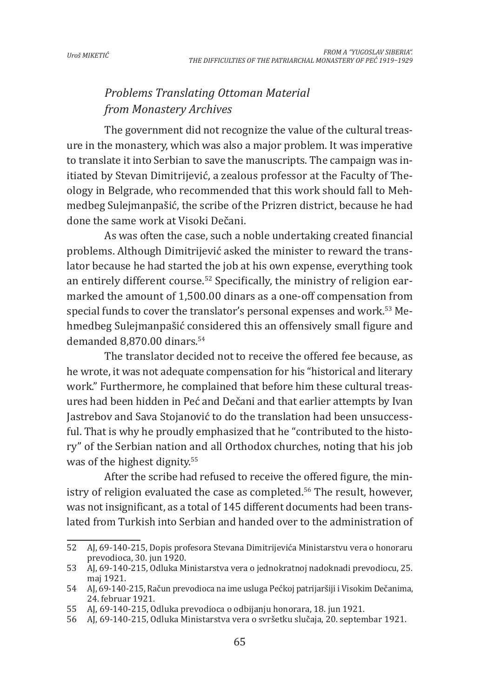# *Problems Translating Ottoman Material from Monastery Archives*

The government did not recognize the value of the cultural treasure in the monastery, which was also a major problem. It was imperative to translate it into Serbian to save the manuscripts. The campaign was initiated by Stevan Dimitrijević, a zealous professor at the Faculty of Theology in Belgrade, who recommended that this work should fall to Mehmedbeg Sulejmanpašić, the scribe of the Prizren district, because he had done the same work at Visoki Dečani.

As was often the case, such a noble undertaking created financial problems. Although Dimitrijević asked the minister to reward the translator because he had started the job at his own expense, everything took an entirely different course.<sup>52</sup> Specifically, the ministry of religion earmarked the amount of 1,500.00 dinars as a one-off compensation from special funds to cover the translator's personal expenses and work.<sup>53</sup> Mehmedbeg Sulejmanpašić considered this an offensively small figure and demanded 8,870.00 dinars.54

The translator decided not to receive the offered fee because, as he wrote, it was not adequate compensation for his "historical and literary work." Furthermore, he complained that before him these cultural treasures had been hidden in Peć and Dečani and that earlier attempts by Ivan Jastrebov and Sava Stojanović to do the translation had been unsuccessful. That is why he proudly emphasized that he "contributed to the history" of the Serbian nation and all Orthodox churches, noting that his job was of the highest dignity.<sup>55</sup>

After the scribe had refused to receive the offered figure, the ministry of religion evaluated the case as completed.<sup>56</sup> The result, however, was not insignificant, as a total of 145 different documents had been translated from Turkish into Serbian and handed over to the administration of

<sup>52</sup> AJ, 69-140-215, Dopis profesora Stevana Dimitrijevića Ministarstvu vera o honoraru prevodioca, 30. jun 1920.

<sup>53</sup> AJ, 69-140-215, Odluka Ministarstva vera o jednokratnoj nadoknadi prevodiocu, 25. maj 1921.

<sup>54</sup> AJ, 69-140-215, Račun prevodioca na ime usluga Pećkoj patrijaršiji i Visokim Dečanima, 24. februar 1921.

<sup>55</sup> AJ, 69-140-215, Odluka prevodioca o odbijanju honorara, 18. jun 1921.

<sup>56</sup> AJ, 69-140-215, Odluka Ministarstva vera o svršetku slučaja, 20. septembar 1921.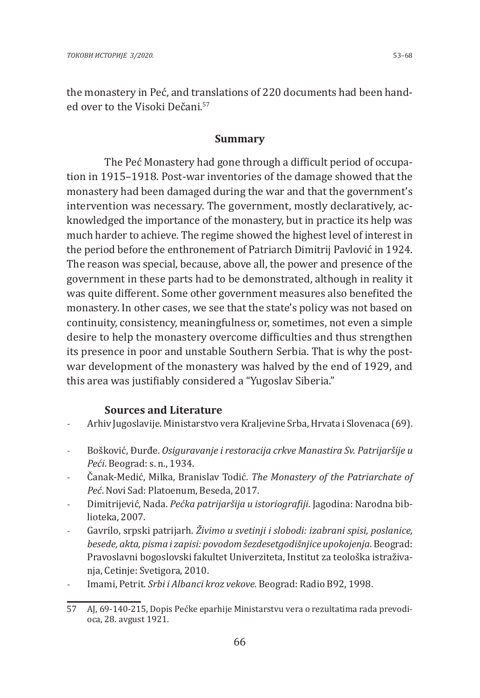#### **Summary**

The Peć Monastery had gone through a difficult period of occupation in 1915–1918. Post-war inventories of the damage showed that the monastery had been damaged during the war and that the government's intervention was necessary. The government, mostly declaratively, acknowledged the importance of the monastery, but in practice its help was much harder to achieve. The regime showed the highest level of interest in the period before the enthronement of Patriarch Dimitrij Pavlović in 1924. The reason was special, because, above all, the power and presence of the government in these parts had to be demonstrated, although in reality it was quite different. Some other government measures also benefited the monastery. In other cases, we see that the state's policy was not based on continuity, consistency, meaningfulness or, sometimes, not even a simple desire to help the monastery overcome difficulties and thus strengthen its presence in poor and unstable Southern Serbia. That is why the postwar development of the monastery was halved by the end of 1929, and this area was justifiably considered a "Yugoslav Siberia."

#### **Sources and Literature**

- Arhiv Jugoslavije. Ministarstvo vera Kraljevine Srba, Hrvata i Slovenaca (69).
- Bošković, Đurđe. *Osiguravanje i restoracija crkve Manastira Sv. Patrijaršije u Peći*. Beograd: s. n., 1934.
- Čanak-Medić, Milka, Branislav Todić. *The Monastery of the Patriarchate of Peć*. Novi Sad: Platoenum, Beseda, 2017.
- Dimitrijević, Nada. *Pećka patrijaršija u istoriografiji*. Jagodina: Narodna biblioteka, 2007.
- Gavrilo, srpski patrijarh. *Živimo u svetinji i slobodi: izabrani spisi, poslanice, besede, akta, pisma i zapisi: povodom šezdesetgodišnjice upokojenja*. Beograd: Pravoslavni bogoslovski fakultet Univerziteta, Institut za teološka istraživanja, Cetinje: Svetigora, 2010.
- Imami, Petrit. *Srbi i Albanci kroz vekove*. Beograd: Radio B92, 1998.

<sup>57</sup> AJ, 69-140-215, Dopis Pećke eparhije Ministarstvu vera o rezultatima rada prevodioca, 28. avgust 1921.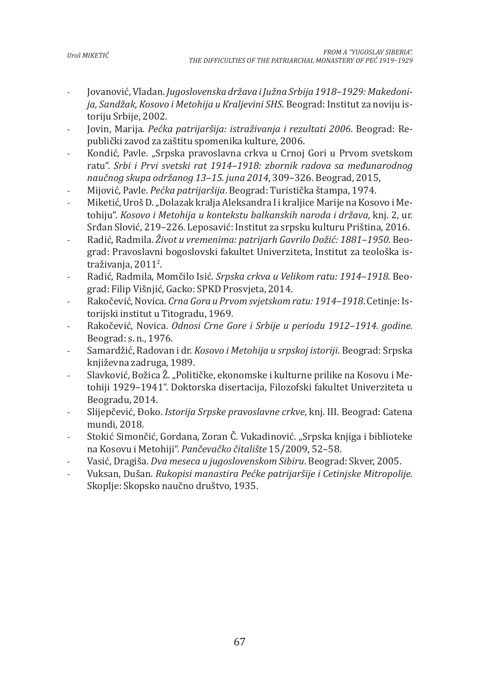- Jovanović, Vladan. *Jugoslovenska država i Južna Srbija 1918–1929: Makedonija, Sandžak, Kosovo i Metohija u Kraljevini SHS*. Beograd: Institut za noviju istoriju Srbije, 2002.
- Jovin, Marija. *Pećka patrijaršija: istraživanja i rezultati 2006*. Beograd: Republički zavod za zaštitu spomenika kulture, 2006.
- Kondić, Pavle. "Srpska pravoslavna crkva u Crnoj Gori u Prvom svetskom ratu". *Srbi i Prvi svetski rat 1914–1918: zbornik radova sa međunarodnog naučnog skupa održanog 13–15. juna 2014*, 309–326. Beograd, 2015,
- Mijović, Pavle. *Pećka patrijaršija*. Beograd: Turistička štampa, 1974.
- Miketić, Uroš D. "Dolazak kralja Aleksandra I i kraljice Marije na Kosovo i Metohiju". *Kosovo i Metohija u kontekstu balkanskih naroda i država*, knj. 2, ur. Srđan Slović, 219–226. Leposavić: Institut za srpsku kulturu Priština, 2016.
- Radić, Radmila. *Život u vremenima: patrijarh Gavrilo Dožić: 1881–1950*. Beograd: Pravoslavni bogoslovski fakultet Univerziteta, Institut za teološka istraživanja, 2011<sup>2</sup>.
- Radić, Radmila, Momčilo Isić. *Srpska crkva u Velikom ratu: 1914–1918*. Beograd: Filip Višnjić, Gacko: SPKD Prosvjeta, 2014.
- Rakočević, Novica. *Crna Gora u Prvom svjetskom ratu: 1914–1918*. Cetinje: Istorijski institut u Titogradu, 1969.
- Rakočević, Novica. *Odnosi Crne Gore i Srbije u periodu 1912–1914. godine*. Beograd: s. n., 1976.
- Samardžić, Radovan i dr. *Kosovo i Metohija u srpskoj istoriji*. Beograd: Srpska književna zadruga, 1989.
- Slavković, Božica Ž. "Političke, ekonomske i kulturne prilike na Kosovu i Metohiji 1929–1941". Doktorska disertacija, Filozofski fakultet Univerziteta u Beogradu, 2014.
- Slijepčević, Đoko. *Istorija Srpske pravoslavne crkve*, knj. III. Beograd: Catena mundi, 2018.
- Stokić Simončić, Gordana, Zoran Č. Vukadinović. "Srpska knjiga i biblioteke na Kosovu i Metohiji". *Pančevačko čitalište* 15/2009, 52–58.
- Vasić, Dragiša. *Dva meseca u jugoslovenskom Sibiru*. Beograd: Skver, 2005.
- Vuksan, Dušan. *Rukopisi manastira Pećke patrijaršije i Cetinjske Mitropolije*. Skoplje: Skopsko naučno društvo, 1935.